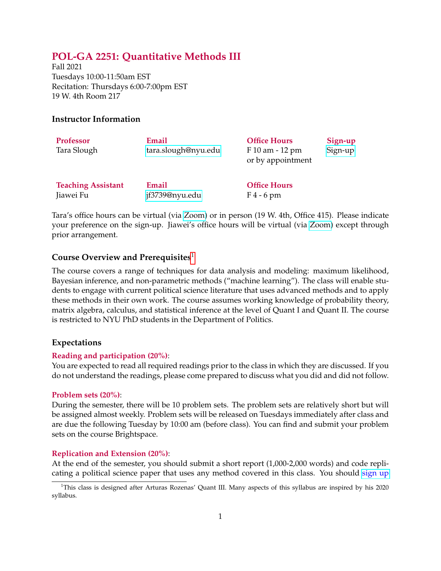# **POL-GA 2251: Quantitative Methods III**

Fall 2021 Tuesdays 10:00-11:50am EST Recitation: Thursdays 6:00-7:00pm EST 19 W. 4th Room 217

### **Instructor Information**

| <b>Professor</b><br>Tara Slough | Email<br>tara.slough@nyu.edu | <b>Office Hours</b><br>F 10 am - 12 pm<br>or by appointment | Sign-up<br>Sign-up |
|---------------------------------|------------------------------|-------------------------------------------------------------|--------------------|
| <b>Teaching Assistant</b>       | Email                        | <b>Office Hours</b>                                         |                    |
| Jiawei Fu                       | jf3739@nyu.edu               | $F4 - 6$ pm                                                 |                    |

Tara's office hours can be virtual (via [Zoom\)](https://nyu.zoom.us/my/tslough) or in person (19 W. 4th, Office 415). Please indicate your preference on the sign-up. Jiawei's office hours will be virtual (via [Zoom\)](https://nyu.zoom.us/j/97514939739) except through prior arrangement.

### **Course Overview and Prerequisites**<sup>1</sup>

The course covers a range of techniques for data analysis and modeling: maximum likelihood, Bayesian inference, and non-parametric methods ("machine learning"). The class will enable students to engage with current political science literature that uses advanced methods and to apply these methods in their own work. The course assumes working knowledge of probability theory, matrix algebra, calculus, and statistical inference at the level of Quant I and Quant II. The course is restricted to NYU PhD students in the Department of Politics.

### **Expectations**

### **Reading and participation (20%)**:

You are expected to read all required readings prior to the class in which they are discussed. If you do not understand the readings, please come prepared to discuss what you did and did not follow.

#### **Problem sets (20%)**:

During the semester, there will be 10 problem sets. The problem sets are relatively short but will be assigned almost weekly. Problem sets will be released on Tuesdays immediately after class and are due the following Tuesday by 10:00 am (before class). You can find and submit your problem sets on the course Brightspace.

### **Replication and Extension (20%)**:

At the end of the semester, you should submit a short report (1,000-2,000 words) and code replicating a political science paper that uses any method covered in this class. You should [sign up](https://nyu.qualtrics.com/jfe/form/SV_8HtMTrjZ4xSwXTo)

<sup>&</sup>lt;sup>1</sup>This class is designed after Arturas Rozenas' Quant III. Many aspects of this syllabus are inspired by his 2020 syllabus.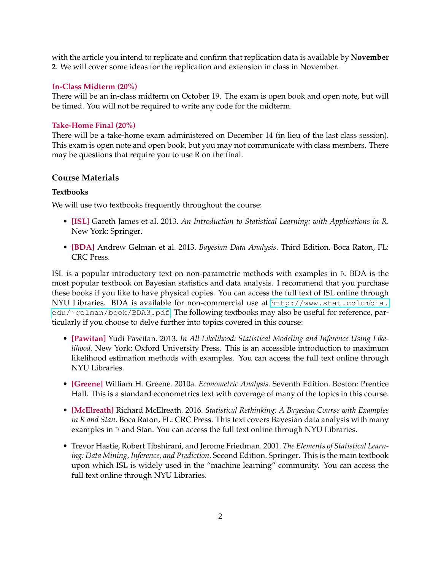with the article you intend to replicate and confirm that replication data is available by **November 2**. We will cover some ideas for the replication and extension in class in November.

#### **In-Class Midterm (20%)**

There will be an in-class midterm on October 19. The exam is open book and open note, but will be timed. You will not be required to write any code for the midterm.

### **Take-Home Final (20%)**

There will be a take-home exam administered on December 14 (in lieu of the last class session). This exam is open note and open book, but you may not communicate with class members. There may be questions that require you to use R on the final.

## **Course Materials**

### **Textbooks**

We will use two textbooks frequently throughout the course:

- **[ISL]** Gareth James et al. 2013. *An Introduction to Statistical Learning: with Applications in R*. New York: Springer.
- **[BDA]** Andrew Gelman et al. 2013. *Bayesian Data Analysis*. Third Edition. Boca Raton, FL: CRC Press.

ISL is a popular introductory text on non-parametric methods with examples in R. BDA is the most popular textbook on Bayesian statistics and data analysis. I recommend that you purchase these books if you like to have physical copies. You can access the full text of ISL online through NYU Libraries. BDA is available for non-commercial use at [http://www.stat.columbia.](http://www.stat.columbia.edu/~gelman/book/BDA3.pdf) edu/~gelman/book/BDA3.pdf. The following textbooks may also be useful for reference, particularly if you choose to delve further into topics covered in this course:

- **[Pawitan]** Yudi Pawitan. 2013. *In All Likelihood: Statistical Modeling and Inference Using Likelihood*. New York: Oxford University Press. This is an accessible introduction to maximum likelihood estimation methods with examples. You can access the full text online through NYU Libraries.
- **[Greene]** William H. Greene. 2010a. *Econometric Analysis*. Seventh Edition. Boston: Prentice Hall. This is a standard econometrics text with coverage of many of the topics in this course.
- **[McElreath]** Richard McElreath. 2016. *Statistical Rethinking: A Bayesian Course with Examples in R and Stan*. Boca Raton, FL: CRC Press. This text covers Bayesian data analysis with many examples in R and Stan. You can access the full text online through NYU Libraries.
- Trevor Hastie, Robert Tibshirani, and Jerome Friedman. 2001. *The Elements of Statistical Learning: Data Mining, Inference, and Prediction*. Second Edition. Springer. This is the main textbook upon which ISL is widely used in the "machine learning" community. You can access the full text online through NYU Libraries.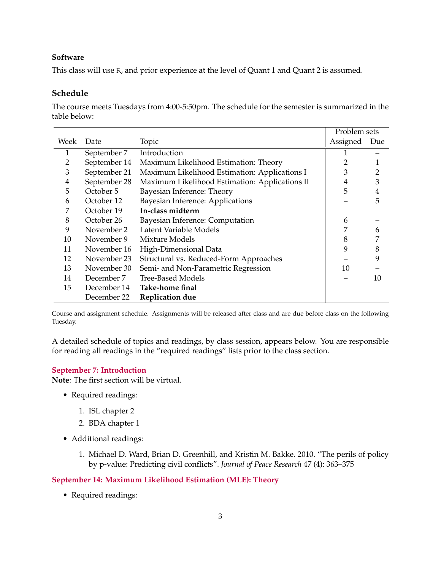### **Software**

This class will use R, and prior experience at the level of Quant 1 and Quant 2 is assumed.

## **Schedule**

The course meets Tuesdays from 4:00-5:50pm. The schedule for the semester is summarized in the table below:

|                |              |                                                | Problem sets |                |
|----------------|--------------|------------------------------------------------|--------------|----------------|
| Week           | Date         | Topic                                          | Assigned     | Due            |
| 1              | September 7  | Introduction                                   |              |                |
| $\overline{2}$ | September 14 | Maximum Likelihood Estimation: Theory          |              |                |
| 3              | September 21 | Maximum Likelihood Estimation: Applications I  | 3            | 2              |
| $\overline{4}$ | September 28 | Maximum Likelihood Estimation: Applications II | 4            | 3              |
| 5              | October 5    | Bayesian Inference: Theory                     | 5            | $\overline{4}$ |
| 6              | October 12   | Bayesian Inference: Applications               |              | 5              |
| 7              | October 19   | In-class midterm                               |              |                |
| 8              | October 26   | Bayesian Inference: Computation                | 6            |                |
| 9              | November 2   | Latent Variable Models                         |              | 6              |
| 10             | November 9   | Mixture Models                                 | 8            | 7              |
| 11             | November 16  | High-Dimensional Data                          | 9            | 8              |
| 12             | November 23  | Structural vs. Reduced-Form Approaches         |              | 9              |
| 13             | November 30  | Semi- and Non-Parametric Regression            | 10           |                |
| 14             | December 7   | <b>Tree-Based Models</b>                       |              | 10             |
| 15             | December 14  | Take-home final                                |              |                |
|                | December 22  | <b>Replication due</b>                         |              |                |

Course and assignment schedule. Assignments will be released after class and are due before class on the following Tuesday.

A detailed schedule of topics and readings, by class session, appears below. You are responsible for reading all readings in the "required readings" lists prior to the class section.

### **September 7: Introduction**

**Note**: The first section will be virtual.

- Required readings:
	- 1. ISL chapter 2
	- 2. BDA chapter 1
- Additional readings:
	- 1. Michael D. Ward, Brian D. Greenhill, and Kristin M. Bakke. 2010. "The perils of policy by p-value: Predicting civil conflicts". *Journal of Peace Research* 47 (4): 363–375

### **September 14: Maximum Likelihood Estimation (MLE): Theory**

• Required readings: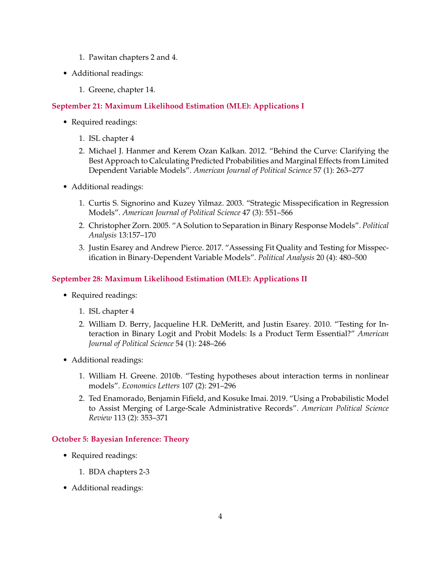- 1. Pawitan chapters 2 and 4.
- Additional readings:
	- 1. Greene, chapter 14.

## **September 21: Maximum Likelihood Estimation (MLE): Applications I**

- Required readings:
	- 1. ISL chapter 4
	- 2. Michael J. Hanmer and Kerem Ozan Kalkan. 2012. "Behind the Curve: Clarifying the Best Approach to Calculating Predicted Probabilities and Marginal Effects from Limited Dependent Variable Models". *American Journal of Political Science* 57 (1): 263–277
- Additional readings:
	- 1. Curtis S. Signorino and Kuzey Yilmaz. 2003. "Strategic Misspecification in Regression Models". *American Journal of Political Science* 47 (3): 551–566
	- 2. Christopher Zorn. 2005. "A Solution to Separation in Binary Response Models". *Political Analysis* 13:157–170
	- 3. Justin Esarey and Andrew Pierce. 2017. "Assessing Fit Quality and Testing for Misspecification in Binary-Dependent Variable Models". *Political Analysis* 20 (4): 480–500

## **September 28: Maximum Likelihood Estimation (MLE): Applications II**

- Required readings:
	- 1. ISL chapter 4
	- 2. William D. Berry, Jacqueline H.R. DeMeritt, and Justin Esarey. 2010. "Testing for Interaction in Binary Logit and Probit Models: Is a Product Term Essential?" *American Journal of Political Science* 54 (1): 248–266
- Additional readings:
	- 1. William H. Greene. 2010b. "Testing hypotheses about interaction terms in nonlinear models". *Economics Letters* 107 (2): 291–296
	- 2. Ted Enamorado, Benjamin Fifield, and Kosuke Imai. 2019. "Using a Probabilistic Model to Assist Merging of Large-Scale Administrative Records". *American Political Science Review* 113 (2): 353–371

## **October 5: Bayesian Inference: Theory**

- Required readings:
	- 1. BDA chapters 2-3
- Additional readings: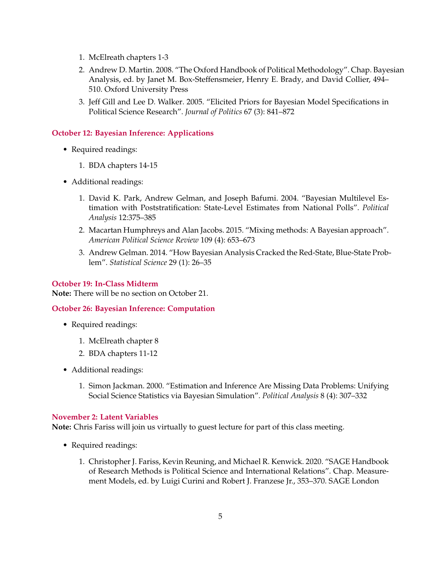- 1. McElreath chapters 1-3
- 2. Andrew D. Martin. 2008. "The Oxford Handbook of Political Methodology". Chap. Bayesian Analysis, ed. by Janet M. Box-Steffensmeier, Henry E. Brady, and David Collier, 494– 510. Oxford University Press
- 3. Jeff Gill and Lee D. Walker. 2005. "Elicited Priors for Bayesian Model Specifications in Political Science Research". *Journal of Politics* 67 (3): 841–872

## **October 12: Bayesian Inference: Applications**

- Required readings:
	- 1. BDA chapters 14-15
- Additional readings:
	- 1. David K. Park, Andrew Gelman, and Joseph Bafumi. 2004. "Bayesian Multilevel Estimation with Poststratification: State-Level Estimates from National Polls". *Political Analysis* 12:375–385
	- 2. Macartan Humphreys and Alan Jacobs. 2015. "Mixing methods: A Bayesian approach". *American Political Science Review* 109 (4): 653–673
	- 3. Andrew Gelman. 2014. "How Bayesian Analysis Cracked the Red-State, Blue-State Problem". *Statistical Science* 29 (1): 26–35

### **October 19: In-Class Midterm**

**Note:** There will be no section on October 21.

### **October 26: Bayesian Inference: Computation**

- Required readings:
	- 1. McElreath chapter 8
	- 2. BDA chapters 11-12
- Additional readings:
	- 1. Simon Jackman. 2000. "Estimation and Inference Are Missing Data Problems: Unifying Social Science Statistics via Bayesian Simulation". *Political Analysis* 8 (4): 307–332

### **November 2: Latent Variables**

**Note:** Chris Fariss will join us virtually to guest lecture for part of this class meeting.

- Required readings:
	- 1. Christopher J. Fariss, Kevin Reuning, and Michael R. Kenwick. 2020. "SAGE Handbook of Research Methods is Political Science and International Relations". Chap. Measurement Models, ed. by Luigi Curini and Robert J. Franzese Jr., 353–370. SAGE London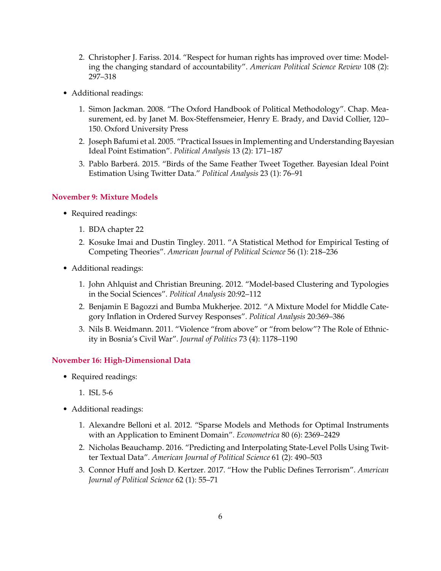- 2. Christopher J. Fariss. 2014. "Respect for human rights has improved over time: Modeling the changing standard of accountability". *American Political Science Review* 108 (2): 297–318
- Additional readings:
	- 1. Simon Jackman. 2008. "The Oxford Handbook of Political Methodology". Chap. Measurement, ed. by Janet M. Box-Steffensmeier, Henry E. Brady, and David Collier, 120– 150. Oxford University Press
	- 2. Joseph Bafumi et al. 2005. "Practical Issues in Implementing and Understanding Bayesian Ideal Point Estimation". *Political Analysis* 13 (2): 171–187
	- 3. Pablo Barberá. 2015. "Birds of the Same Feather Tweet Together. Bayesian Ideal Point Estimation Using Twitter Data." *Political Analysis* 23 (1): 76–91

#### **November 9: Mixture Models**

- Required readings:
	- 1. BDA chapter 22
	- 2. Kosuke Imai and Dustin Tingley. 2011. "A Statistical Method for Empirical Testing of Competing Theories". *American Journal of Political Science* 56 (1): 218–236
- Additional readings:
	- 1. John Ahlquist and Christian Breuning. 2012. "Model-based Clustering and Typologies in the Social Sciences". *Political Analysis* 20:92–112
	- 2. Benjamin E Bagozzi and Bumba Mukherjee. 2012. "A Mixture Model for Middle Category Inflation in Ordered Survey Responses". *Political Analysis* 20:369–386
	- 3. Nils B. Weidmann. 2011. "Violence "from above" or "from below"? The Role of Ethnicity in Bosnia's Civil War". *Journal of Politics* 73 (4): 1178–1190

#### **November 16: High-Dimensional Data**

- Required readings:
	- 1. ISL 5-6
- Additional readings:
	- 1. Alexandre Belloni et al. 2012. "Sparse Models and Methods for Optimal Instruments with an Application to Eminent Domain". *Econometrica* 80 (6): 2369–2429
	- 2. Nicholas Beauchamp. 2016. "Predicting and Interpolating State-Level Polls Using Twitter Textual Data". *American Journal of Political Science* 61 (2): 490–503
	- 3. Connor Huff and Josh D. Kertzer. 2017. "How the Public Defines Terrorism". *American Journal of Political Science* 62 (1): 55–71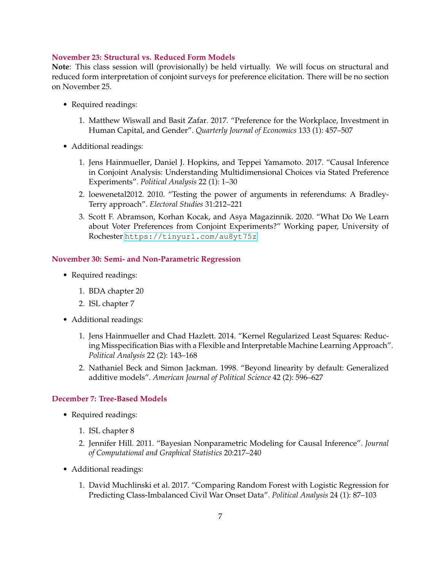#### **November 23: Structural vs. Reduced Form Models**

**Note**: This class session will (provisionally) be held virtually. We will focus on structural and reduced form interpretation of conjoint surveys for preference elicitation. There will be no section on November 25.

- Required readings:
	- 1. Matthew Wiswall and Basit Zafar. 2017. "Preference for the Workplace, Investment in Human Capital, and Gender". *Quarterly Journal of Economics* 133 (1): 457–507
- Additional readings:
	- 1. Jens Hainmueller, Daniel J. Hopkins, and Teppei Yamamoto. 2017. "Causal Inference in Conjoint Analysis: Understanding Multidimensional Choices via Stated Preference Experiments". *Political Analysis* 22 (1): 1–30
	- 2. loewenetal2012. 2010. "Testing the power of arguments in referendums: A Bradley-Terry approach". *Electoral Studies* 31:212–221
	- 3. Scott F. Abramson, Korhan Kocak, and Asya Magazinnik. 2020. "What Do We Learn about Voter Preferences from Conjoint Experiments?" Working paper, University of Rochester <https://tinyurl.com/au8yt75z>

#### **November 30: Semi- and Non-Parametric Regression**

- Required readings:
	- 1. BDA chapter 20
	- 2. ISL chapter 7
- Additional readings:
	- 1. Jens Hainmueller and Chad Hazlett. 2014. "Kernel Regularized Least Squares: Reducing Misspecification Bias with a Flexible and Interpretable Machine Learning Approach". *Political Analysis* 22 (2): 143–168
	- 2. Nathaniel Beck and Simon Jackman. 1998. "Beyond linearity by default: Generalized additive models". *American Journal of Political Science* 42 (2): 596–627

## **December 7: Tree-Based Models**

- Required readings:
	- 1. ISL chapter 8
	- 2. Jennifer Hill. 2011. "Bayesian Nonparametric Modeling for Causal Inference". *Journal of Computational and Graphical Statistics* 20:217–240
- Additional readings:
	- 1. David Muchlinski et al. 2017. "Comparing Random Forest with Logistic Regression for Predicting Class-Imbalanced Civil War Onset Data". *Political Analysis* 24 (1): 87–103